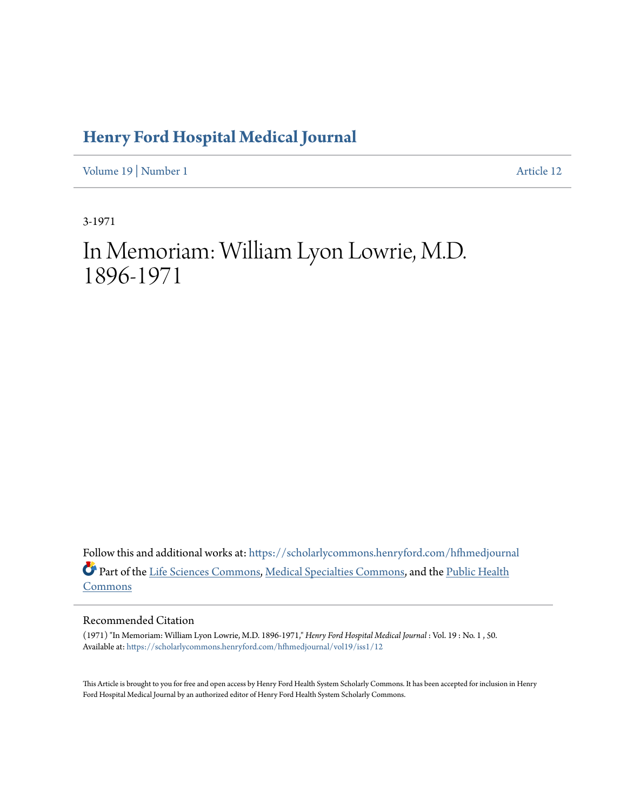### **[Henry Ford Hospital Medical Journal](https://scholarlycommons.henryford.com/hfhmedjournal?utm_source=scholarlycommons.henryford.com%2Fhfhmedjournal%2Fvol19%2Fiss1%2F12&utm_medium=PDF&utm_campaign=PDFCoverPages)**

[Volume 19](https://scholarlycommons.henryford.com/hfhmedjournal/vol19?utm_source=scholarlycommons.henryford.com%2Fhfhmedjournal%2Fvol19%2Fiss1%2F12&utm_medium=PDF&utm_campaign=PDFCoverPages) | [Number 1](https://scholarlycommons.henryford.com/hfhmedjournal/vol19/iss1?utm_source=scholarlycommons.henryford.com%2Fhfhmedjournal%2Fvol19%2Fiss1%2F12&utm_medium=PDF&utm_campaign=PDFCoverPages) [Article 12](https://scholarlycommons.henryford.com/hfhmedjournal/vol19/iss1/12?utm_source=scholarlycommons.henryford.com%2Fhfhmedjournal%2Fvol19%2Fiss1%2F12&utm_medium=PDF&utm_campaign=PDFCoverPages)

3-1971

# In Memoriam: William Lyon Lowrie, M.D. 1896-1971

Follow this and additional works at: [https://scholarlycommons.henryford.com/hfhmedjournal](https://scholarlycommons.henryford.com/hfhmedjournal?utm_source=scholarlycommons.henryford.com%2Fhfhmedjournal%2Fvol19%2Fiss1%2F12&utm_medium=PDF&utm_campaign=PDFCoverPages) Part of the [Life Sciences Commons](http://network.bepress.com/hgg/discipline/1016?utm_source=scholarlycommons.henryford.com%2Fhfhmedjournal%2Fvol19%2Fiss1%2F12&utm_medium=PDF&utm_campaign=PDFCoverPages), [Medical Specialties Commons](http://network.bepress.com/hgg/discipline/680?utm_source=scholarlycommons.henryford.com%2Fhfhmedjournal%2Fvol19%2Fiss1%2F12&utm_medium=PDF&utm_campaign=PDFCoverPages), and the [Public Health](http://network.bepress.com/hgg/discipline/738?utm_source=scholarlycommons.henryford.com%2Fhfhmedjournal%2Fvol19%2Fiss1%2F12&utm_medium=PDF&utm_campaign=PDFCoverPages) [Commons](http://network.bepress.com/hgg/discipline/738?utm_source=scholarlycommons.henryford.com%2Fhfhmedjournal%2Fvol19%2Fiss1%2F12&utm_medium=PDF&utm_campaign=PDFCoverPages)

#### Recommended Citation

(1971) "In Memoriam: William Lyon Lowrie, M.D. 1896-1971," *Henry Ford Hospital Medical Journal* : Vol. 19 : No. 1 , 50. Available at: [https://scholarlycommons.henryford.com/hfhmedjournal/vol19/iss1/12](https://scholarlycommons.henryford.com/hfhmedjournal/vol19/iss1/12?utm_source=scholarlycommons.henryford.com%2Fhfhmedjournal%2Fvol19%2Fiss1%2F12&utm_medium=PDF&utm_campaign=PDFCoverPages)

This Article is brought to you for free and open access by Henry Ford Health System Scholarly Commons. It has been accepted for inclusion in Henry Ford Hospital Medical Journal by an authorized editor of Henry Ford Health System Scholarly Commons.